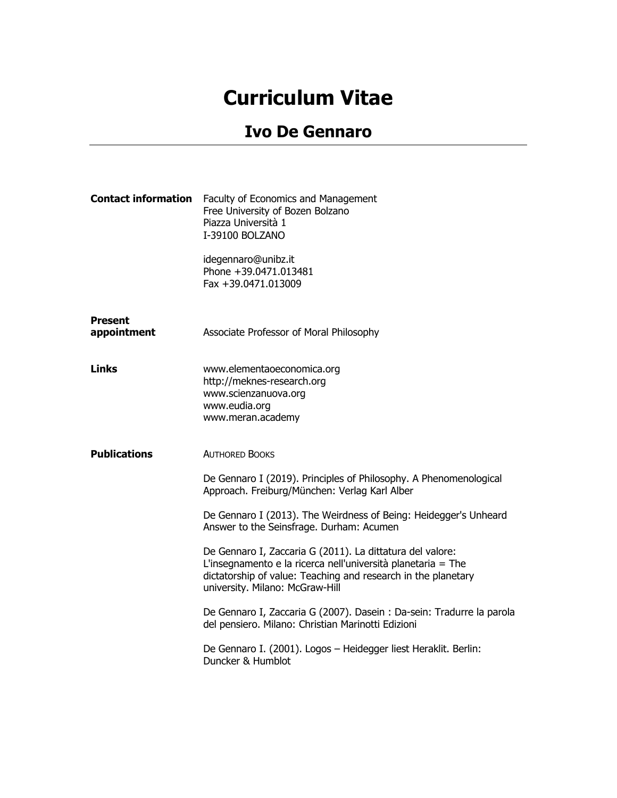## **Curriculum Vitae**

## **Ivo De Gennaro**

| <b>Contact information</b>    | Faculty of Economics and Management<br>Free University of Bozen Bolzano<br>Piazza Università 1<br>I-39100 BOLZANO                                                                                                             |
|-------------------------------|-------------------------------------------------------------------------------------------------------------------------------------------------------------------------------------------------------------------------------|
|                               | idegennaro@unibz.it<br>Phone +39.0471.013481<br>Fax +39.0471.013009                                                                                                                                                           |
| <b>Present</b><br>appointment | Associate Professor of Moral Philosophy                                                                                                                                                                                       |
| Links                         | www.elementaoeconomica.org<br>http://meknes-research.org<br>www.scienzanuova.org<br>www.eudia.org<br>www.meran.academy                                                                                                        |
| <b>Publications</b>           | <b>AUTHORED BOOKS</b>                                                                                                                                                                                                         |
|                               | De Gennaro I (2019). Principles of Philosophy. A Phenomenological<br>Approach. Freiburg/München: Verlag Karl Alber                                                                                                            |
|                               | De Gennaro I (2013). The Weirdness of Being: Heidegger's Unheard<br>Answer to the Seinsfrage. Durham: Acumen                                                                                                                  |
|                               | De Gennaro I, Zaccaria G (2011). La dittatura del valore:<br>L'insegnamento e la ricerca nell'università planetaria = The<br>dictatorship of value: Teaching and research in the planetary<br>university. Milano: McGraw-Hill |
|                               | De Gennaro I, Zaccaria G (2007). Dasein : Da-sein: Tradurre la parola<br>del pensiero. Milano: Christian Marinotti Edizioni                                                                                                   |
|                               | De Gennaro I. (2001). Logos - Heidegger liest Heraklit. Berlin:<br>Duncker & Humblot                                                                                                                                          |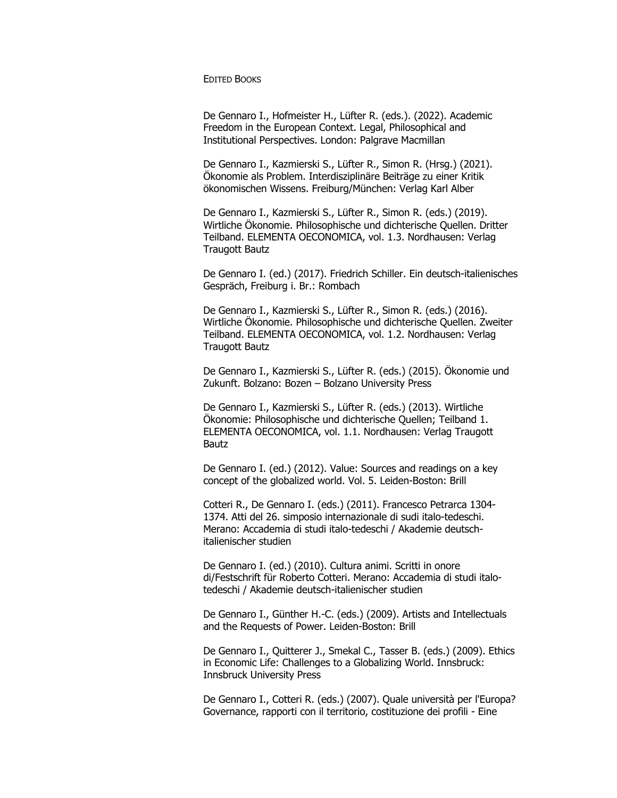**EDITED BOOKS** 

De Gennaro I., Hofmeister H., Lüfter R. (eds.). (2022). Academic Freedom in the European Context. Legal, Philosophical and Institutional Perspectives. London: Palgrave Macmillan

De Gennaro I., Kazmierski S., Lüfter R., Simon R. (Hrsg.) (2021). Ökonomie als Problem. Interdisziplinäre Beiträge zu einer Kritik ökonomischen Wissens. Freiburg/München: Verlag Karl Alber

De Gennaro I., Kazmierski S., Lüfter R., Simon R. (eds.) (2019). Wirtliche Ökonomie. Philosophische und dichterische Quellen. Dritter Teilband. ELEMENTA OECONOMICA, vol. 1.3. Nordhausen: Verlag Traugott Bautz

De Gennaro I. (ed.) (2017). Friedrich Schiller. Ein deutsch-italienisches Gespräch, Freiburg i. Br.: Rombach

De Gennaro I., Kazmierski S., Lüfter R., Simon R. (eds.) (2016). Wirtliche Ökonomie. Philosophische und dichterische Quellen. Zweiter Teilband. ELEMENTA OECONOMICA, vol. 1.2. Nordhausen: Verlag Traugott Bautz

De Gennaro I., Kazmierski S., Lüfter R. (eds.) (2015). Ökonomie und Zukunft. Bolzano: Bozen – Bolzano University Press

De Gennaro I., Kazmierski S., Lüfter R. (eds.) (2013). Wirtliche Ökonomie: Philosophische und dichterische Quellen; Teilband 1. ELEMENTA OECONOMICA, vol. 1.1. Nordhausen: Verlag Traugott Bautz

De Gennaro I. (ed.) (2012). Value: Sources and readings on a key concept of the globalized world. Vol. 5. Leiden-Boston: Brill

Cotteri R., De Gennaro I. (eds.) (2011). Francesco Petrarca 1304- 1374. Atti del 26. simposio internazionale di sudi italo-tedeschi. Merano: Accademia di studi italo-tedeschi / Akademie deutschitalienischer studien

De Gennaro I. (ed.) (2010). Cultura animi. Scritti in onore di/Festschrift für Roberto Cotteri. Merano: Accademia di studi italotedeschi / Akademie deutsch-italienischer studien

De Gennaro I., Günther H.-C. (eds.) (2009). Artists and Intellectuals and the Requests of Power. Leiden-Boston: Brill

De Gennaro I., Quitterer J., Smekal C., Tasser B. (eds.) (2009). Ethics in Economic Life: Challenges to a Globalizing World. Innsbruck: Innsbruck University Press

De Gennaro I., Cotteri R. (eds.) (2007). Quale università per l'Europa? Governance, rapporti con il territorio, costituzione dei profili - Eine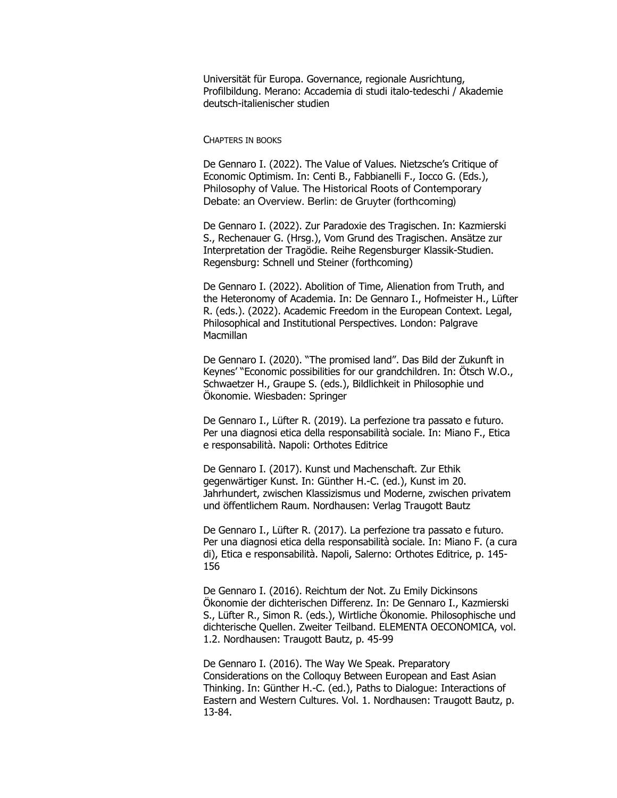Universität für Europa. Governance, regionale Ausrichtung, Profilbildung. Merano: Accademia di studi italo-tedeschi / Akademie deutsch-italienischer studien

## • CHAPTERS IN BOOKS

De Gennaro I. (2022). The Value of Values. Nietzsche's Critique of Economic Optimism. In: Centi B., Fabbianelli F., Iocco G. (Eds.), Philosophy of Value. The Historical Roots of Contemporary Debate: an Overview. Berlin: de Gruyter (forthcoming)

De Gennaro I. (2022). Zur Paradoxie des Tragischen. In: Kazmierski S., Rechenauer G. (Hrsg.), Vom Grund des Tragischen. Ansätze zur Interpretation der Tragödie. Reihe Regensburger Klassik-Studien. Regensburg: Schnell und Steiner (forthcoming)

De Gennaro I. (2022). Abolition of Time, Alienation from Truth, and the Heteronomy of Academia. In: De Gennaro I., Hofmeister H., Lüfter R. (eds.). (2022). Academic Freedom in the European Context. Legal, Philosophical and Institutional Perspectives. London: Palgrave Macmillan

De Gennaro I. (2020). "The promised land". Das Bild der Zukunft in Keynes' "Economic possibilities for our grandchildren. In: Ötsch W.O., Schwaetzer H., Graupe S. (eds.), Bildlichkeit in Philosophie und Ökonomie. Wiesbaden: Springer

De Gennaro I., Lüfter R. (2019). La perfezione tra passato e futuro. Per una diagnosi etica della responsabilità sociale. In: Miano F., Etica e responsabilità. Napoli: Orthotes Editrice

De Gennaro I. (2017). Kunst und Machenschaft. Zur Ethik gegenwärtiger Kunst. In: Günther H.-C. (ed.), Kunst im 20. Jahrhundert, zwischen Klassizismus und Moderne, zwischen privatem und öffentlichem Raum. Nordhausen: Verlag Traugott Bautz

De Gennaro I., Lüfter R. (2017). La perfezione tra passato e futuro. Per una diagnosi etica della responsabilità sociale. In: Miano F. (a cura di), Etica e responsabilità. Napoli, Salerno: Orthotes Editrice, p. 145- 156

De Gennaro I. (2016). Reichtum der Not. Zu Emily Dickinsons Ökonomie der dichterischen Differenz. In: De Gennaro I., Kazmierski S., Lüfter R., Simon R. (eds.), Wirtliche Ökonomie. Philosophische und dichterische Quellen. Zweiter Teilband. ELEMENTA OECONOMICA, vol. 1.2. Nordhausen: Traugott Bautz, p. 45-99

De Gennaro I. (2016). The Way We Speak. Preparatory Considerations on the Colloquy Between European and East Asian Thinking. In: Günther H.-C. (ed.), Paths to Dialogue: Interactions of Eastern and Western Cultures. Vol. 1. Nordhausen: Traugott Bautz, p. 13-84.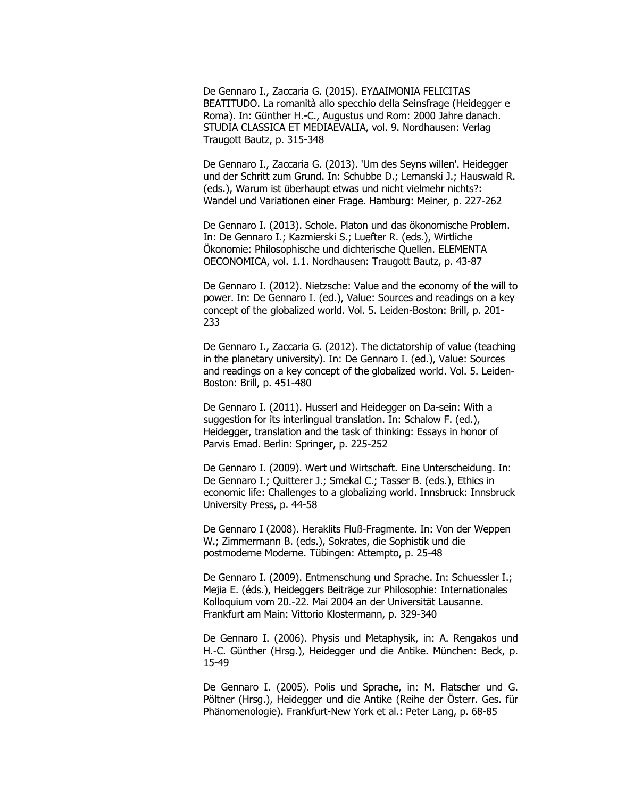De Gennaro I., Zaccaria G. (2015). ΕΥΔΑΙΜΟΝΙΑ FELICITAS BEATITUDO. La romanità allo specchio della Seinsfrage (Heidegger e Roma). In: Günther H.-C., Augustus und Rom: 2000 Jahre danach. STUDIA CLASSICA ET MEDIAEVALIA, vol. 9. Nordhausen: Verlag Traugott Bautz, p. 315-348

De Gennaro I., Zaccaria G. (2013). 'Um des Seyns willen'. Heidegger und der Schritt zum Grund. In: Schubbe D.; Lemanski J.; Hauswald R. (eds.), Warum ist überhaupt etwas und nicht vielmehr nichts?: Wandel und Variationen einer Frage. Hamburg: Meiner, p. 227-262

De Gennaro I. (2013). Schole. Platon und das ökonomische Problem. In: De Gennaro I.; Kazmierski S.; Luefter R. (eds.), Wirtliche Ökonomie: Philosophische und dichterische Quellen. ELEMENTA OECONOMICA, vol. 1.1. Nordhausen: Traugott Bautz, p. 43-87

De Gennaro I. (2012). Nietzsche: Value and the economy of the will to power. In: De Gennaro I. (ed.), Value: Sources and readings on a key concept of the globalized world. Vol. 5. Leiden-Boston: Brill, p. 201- 233

De Gennaro I., Zaccaria G. (2012). The dictatorship of value (teaching in the planetary university). In: De Gennaro I. (ed.), Value: Sources and readings on a key concept of the globalized world. Vol. 5. Leiden-Boston: Brill, p. 451-480

De Gennaro I. (2011). Husserl and Heidegger on Da-sein: With a suggestion for its interlingual translation. In: Schalow F. (ed.), Heidegger, translation and the task of thinking: Essays in honor of Parvis Emad. Berlin: Springer, p. 225-252

De Gennaro I. (2009). Wert und Wirtschaft. Eine Unterscheidung. In: De Gennaro I.; Quitterer J.; Smekal C.; Tasser B. (eds.), Ethics in economic life: Challenges to a globalizing world. Innsbruck: Innsbruck University Press, p. 44-58

De Gennaro I (2008). Heraklits Fluß-Fragmente. In: Von der Weppen W.; Zimmermann B. (eds.), Sokrates, die Sophistik und die postmoderne Moderne. Tübingen: Attempto, p. 25-48

De Gennaro I. (2009). Entmenschung und Sprache. In: Schuessler I.; Mejia E. (éds.), Heideggers Beiträge zur Philosophie: Internationales Kolloquium vom 20.-22. Mai 2004 an der Universität Lausanne. Frankfurt am Main: Vittorio Klostermann, p. 329-340

De Gennaro I. (2006). Physis und Metaphysik, in: A. Rengakos und H.-C. Günther (Hrsg.), Heidegger und die Antike. München: Beck, p. 15-49

De Gennaro I. (2005). Polis und Sprache, in: M. Flatscher und G. Pöltner (Hrsg.), Heidegger und die Antike (Reihe der Österr. Ges. für Phänomenologie). Frankfurt-New York et al.: Peter Lang, p. 68-85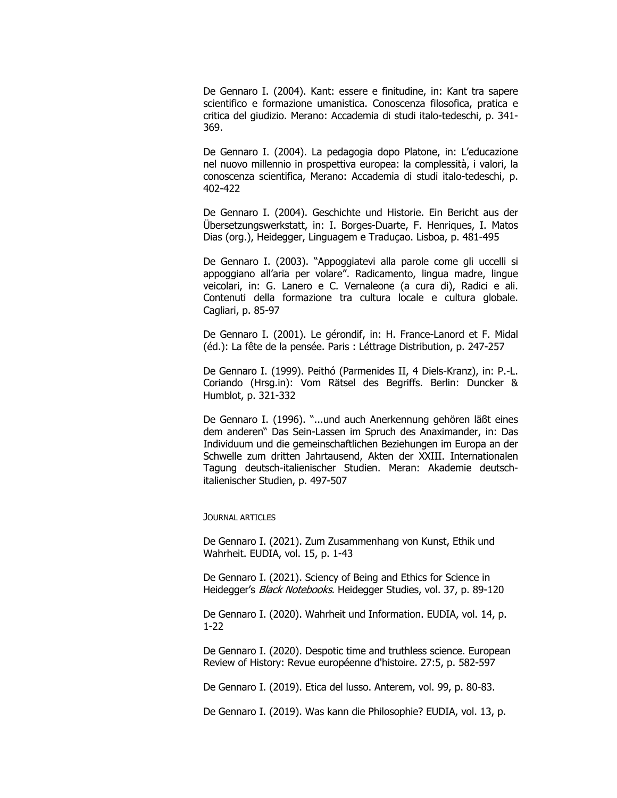De Gennaro I. (2004). Kant: essere e finitudine, in: Kant tra sapere scientifico e formazione umanistica. Conoscenza filosofica, pratica e critica del giudizio. Merano: Accademia di studi italo-tedeschi, p. 341- 369.

De Gennaro I. (2004). La pedagogia dopo Platone, in: L'educazione nel nuovo millennio in prospettiva europea: la complessità, i valori, la conoscenza scientifica, Merano: Accademia di studi italo-tedeschi, p. 402-422

De Gennaro I. (2004). Geschichte und Historie. Ein Bericht aus der Übersetzungswerkstatt, in: I. Borges-Duarte, F. Henriques, I. Matos Dias (org.), Heidegger, Linguagem e Traduçao. Lisboa, p. 481-495

De Gennaro I. (2003). "Appoggiatevi alla parole come gli uccelli si appoggiano all'aria per volare". Radicamento, lingua madre, lingue veicolari, in: G. Lanero e C. Vernaleone (a cura di), Radici e ali. Contenuti della formazione tra cultura locale e cultura globale. Cagliari, p. 85-97

De Gennaro I. (2001). Le gérondif, in: H. France-Lanord et F. Midal (éd.): La fête de la pensée. Paris : Léttrage Distribution, p. 247-257

De Gennaro I. (1999). Peithó (Parmenides II, 4 Diels-Kranz), in: P.-L. Coriando (Hrsg.in): Vom Rätsel des Begriffs. Berlin: Duncker & Humblot, p. 321-332

De Gennaro I. (1996). "...und auch Anerkennung gehören läßt eines dem anderen" Das Sein-Lassen im Spruch des Anaximander, in: Das Individuum und die gemeinschaftlichen Beziehungen im Europa an der Schwelle zum dritten Jahrtausend, Akten der XXIII. Internationalen Tagung deutsch-italienischer Studien. Meran: Akademie deutschitalienischer Studien, p. 497-507

JOURNAL ARTICLES

De Gennaro I. (2021). Zum Zusammenhang von Kunst, Ethik und Wahrheit. EUDIA, vol. 15, p. 1-43

De Gennaro I. (2021). Sciency of Being and Ethics for Science in Heidegger's *Black Notebooks*. Heidegger Studies, vol. 37, p. 89-120

De Gennaro I. (2020). Wahrheit und Information. EUDIA, vol. 14, p. 1-22

De Gennaro I. (2020). Despotic time and truthless science. European Review of History: Revue européenne d'histoire. 27:5, p. 582-597

De Gennaro I. (2019). Etica del lusso. Anterem, vol. 99, p. 80-83.

De Gennaro I. (2019). Was kann die Philosophie? EUDIA, vol. 13, p.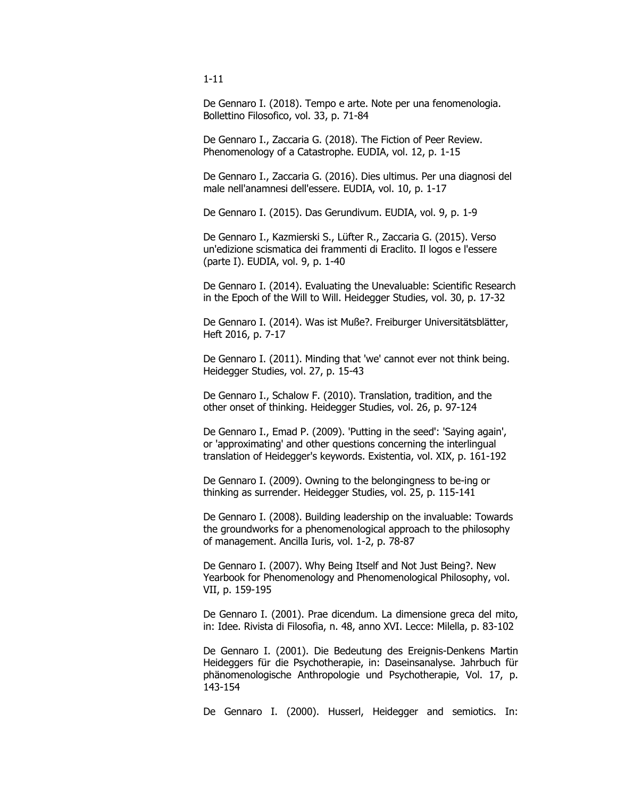De Gennaro I. (2018). Tempo e arte. Note per una fenomenologia. Bollettino Filosofico, vol. 33, p. 71-84

De Gennaro I., Zaccaria G. (2018). The Fiction of Peer Review. Phenomenology of a Catastrophe. EUDIA, vol. 12, p. 1-15

De Gennaro I., Zaccaria G. (2016). Dies ultimus. Per una diagnosi del male nell'anamnesi dell'essere. EUDIA, vol. 10, p. 1-17

De Gennaro I. (2015). Das Gerundivum. EUDIA, vol. 9, p. 1-9

De Gennaro I., Kazmierski S., Lüfter R., Zaccaria G. (2015). Verso un'edizione scismatica dei frammenti di Eraclito. Il logos e l'essere (parte I). EUDIA, vol. 9, p. 1-40

De Gennaro I. (2014). Evaluating the Unevaluable: Scientific Research in the Epoch of the Will to Will. Heidegger Studies, vol. 30, p. 17-32

De Gennaro I. (2014). Was ist Muße?. Freiburger Universitätsblätter, Heft 2016, p. 7-17

De Gennaro I. (2011). Minding that 'we' cannot ever not think being. Heidegger Studies, vol. 27, p. 15-43

De Gennaro I., Schalow F. (2010). Translation, tradition, and the other onset of thinking. Heidegger Studies, vol. 26, p. 97-124

De Gennaro I., Emad P. (2009). 'Putting in the seed': 'Saying again', or 'approximating' and other questions concerning the interlingual translation of Heidegger's keywords. Existentia, vol. XIX, p. 161-192

De Gennaro I. (2009). Owning to the belongingness to be-ing or thinking as surrender. Heidegger Studies, vol. 25, p. 115-141

De Gennaro I. (2008). Building leadership on the invaluable: Towards the groundworks for a phenomenological approach to the philosophy of management. Ancilla Iuris, vol. 1-2, p. 78-87

De Gennaro I. (2007). Why Being Itself and Not Just Being?. New Yearbook for Phenomenology and Phenomenological Philosophy, vol. VII, p. 159-195

De Gennaro I. (2001). Prae dicendum. La dimensione greca del mito, in: Idee. Rivista di Filosofia, n. 48, anno XVI. Lecce: Milella, p. 83-102

De Gennaro I. (2001). Die Bedeutung des Ereignis-Denkens Martin Heideggers für die Psychotherapie, in: Daseinsanalyse. Jahrbuch für phänomenologische Anthropologie und Psychotherapie, Vol. 17, p. 143-154

De Gennaro I. (2000). Husserl, Heidegger and semiotics. In:

1-11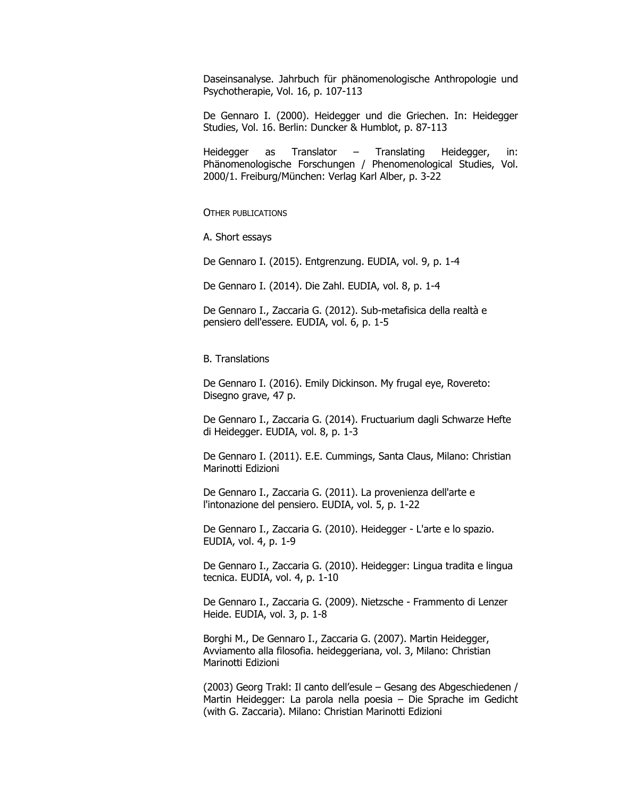Daseinsanalyse. Jahrbuch für phänomenologische Anthropologie und Psychotherapie, Vol. 16, p. 107-113

De Gennaro I. (2000). Heidegger und die Griechen. In: Heidegger Studies, Vol. 16. Berlin: Duncker & Humblot, p. 87-113

Heidegger as Translator – Translating Heidegger, in: Phänomenologische Forschungen / Phenomenological Studies, Vol. 2000/1. Freiburg/München: Verlag Karl Alber, p. 3-22

• OTHER PUBLICATIONS

A. Short essays

De Gennaro I. (2015). Entgrenzung. EUDIA, vol. 9, p. 1-4

De Gennaro I. (2014). Die Zahl. EUDIA, vol. 8, p. 1-4

De Gennaro I., Zaccaria G. (2012). Sub-metafisica della realtà e pensiero dell'essere. EUDIA, vol. 6, p. 1-5

B. Translations

De Gennaro I. (2016). Emily Dickinson. My frugal eye, Rovereto: Disegno grave, 47 p.

De Gennaro I., Zaccaria G. (2014). Fructuarium dagli Schwarze Hefte di Heidegger. EUDIA, vol. 8, p. 1-3

De Gennaro I. (2011). E.E. Cummings, Santa Claus, Milano: Christian Marinotti Edizioni

De Gennaro I., Zaccaria G. (2011). La provenienza dell'arte e l'intonazione del pensiero. EUDIA, vol. 5, p. 1-22

De Gennaro I., Zaccaria G. (2010). Heidegger - L'arte e lo spazio. EUDIA, vol. 4, p. 1-9

De Gennaro I., Zaccaria G. (2010). Heidegger: Lingua tradita e lingua tecnica. EUDIA, vol. 4, p. 1-10

De Gennaro I., Zaccaria G. (2009). Nietzsche - Frammento di Lenzer Heide. EUDIA, vol. 3, p. 1-8

Borghi M., De Gennaro I., Zaccaria G. (2007). Martin Heidegger, Avviamento alla filosofia. heideggeriana, vol. 3, Milano: Christian Marinotti Edizioni

(2003) Georg Trakl: Il canto dell'esule – Gesang des Abgeschiedenen / Martin Heidegger: La parola nella poesia – Die Sprache im Gedicht (with G. Zaccaria). Milano: Christian Marinotti Edizioni